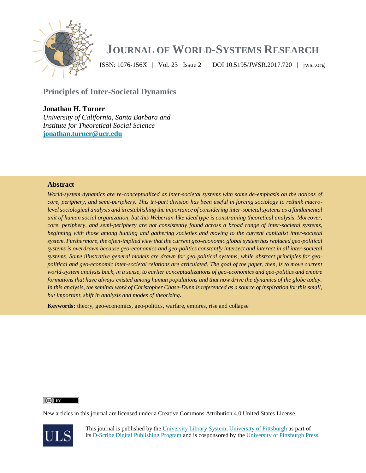

# **JOURNAL OF WORLD-SYSTEMS RESEARCH**

ISSN: 1076-156X | Vol. 23 Issue 2 | DOI 10.5195/JWSR.2017.720 | jwsr.org

**Principles of Inter-Societal Dynamics Vol. 1 | DOI** 10.5195.195

# **Jonathan H. Turner**

*University of California, Santa Barbara and Institute for Theoretical Social Science* **jonathan.turner@ucr.edu**

## **Abstract**

*World-system dynamics are re-conceptualized as inter-societal systems with some de-emphasis on the notions of core, periphery, and semi-periphery. This tri-part division has been useful in forcing sociology to rethink macro*level sociological analysis and in establishing the importance of considering inter-societal systems as a fundamental *unit of human social organization, but this Weberian-like ideal type is constraining theoretical analysis. Moreover, core, periphery, and semi-periphery are not consistently found across a broad range of inter-societal systems, beginning with those among hunting and gathering societies and moving to the current capitalist inter-societal system. Furthermore, the often-implied view that the current geo-economic global system has replaced geo-political systems is overdrawn because geo-economics and geo-politics constantly intersect and interact in all inter-societal systems. Some illustrative general models are drawn for geo-political systems, while abstract principles for geopolitical and geo-economic inter-societal relations are articulated. The goal of the paper, then, is to move current world-system analysis back, in a sense, to earlier conceptualizations of geo-economics and geo-politics and empire formations that have always existed among human populations and that now drive the dynamics of the globe today. In this analysis, the seminal work of Christopher Chase-Dunn is referenced as a source of inspiration for this small, but important, shift in analysis and modes of theorizing***.**

**Keywords:** theory, geo-economics, geo-politics, warfare, empires, rise and collapse

#### $(cc)$  BY

New articles in this journal are licensed under a Creative Commons Attribution 4.0 United States License.



This journal is published by the [University Library System,](http://www.library.pitt.edu/) [University of Pittsburgh](http://www.pitt.edu/) as part of its [D-Scribe Digital Publishing Program](http://www.library.pitt.edu/articles/digpubtype/index.html) and is cosponsored by the [University of Pittsburgh Press.](http://upress.pitt.edu/)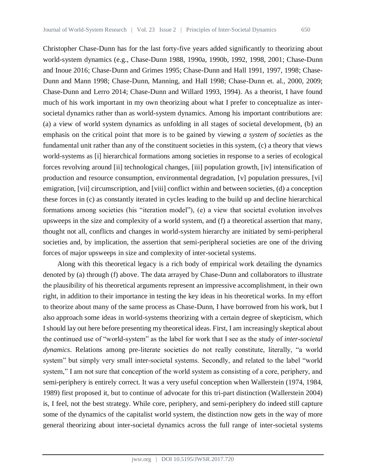Christopher Chase-Dunn has for the last forty-five years added significantly to theorizing about world-system dynamics (e.g., Chase-Dunn 1988, 1990a, 1990b, 1992, 1998, 2001; Chase-Dunn and Inoue 2016; Chase-Dunn and Grimes 1995; Chase-Dunn and Hall 1991, 1997, 1998; Chase-Dunn and Mann 1998; Chase-Dunn, Manning, and Hall 1998; Chase-Dunn et. al., 2000, 2009; Chase-Dunn and Lerro 2014; Chase-Dunn and Willard 1993, 1994). As a theorist, I have found much of his work important in my own theorizing about what I prefer to conceptualize as intersocietal dynamics rather than as world-system dynamics. Among his important contributions are: (a) a view of world system dynamics as unfolding in all stages of societal development, (b) an emphasis on the critical point that more is to be gained by viewing *a system of societies* as the fundamental unit rather than any of the constituent societies in this system, (c) a theory that views world-systems as [i] hierarchical formations among societies in response to a series of ecological forces revolving around [ii] technological changes, [iii] population growth, [iv] intensification of production and resource consumption, environmental degradation, [v] population pressures, [vi] emigration, [vii] circumscription, and [viii] conflict within and between societies, (d) a conception these forces in (c) as constantly iterated in cycles leading to the build up and decline hierarchical formations among societies (his "iteration model"), (e) a view that societal evolution involves upsweeps in the size and complexity of a world system, and (f) a theoretical assertion that many, thought not all, conflicts and changes in world-system hierarchy are initiated by semi-peripheral societies and, by implication, the assertion that semi-peripheral societies are one of the driving forces of major upsweeps in size and complexity of inter-societal systems.

Along with this theoretical legacy is a rich body of empirical work detailing the dynamics denoted by (a) through (f) above. The data arrayed by Chase-Dunn and collaborators to illustrate the plausibility of his theoretical arguments represent an impressive accomplishment, in their own right, in addition to their importance in testing the key ideas in his theoretical works. In my effort to theorize about many of the same process as Chase-Dunn, I have borrowed from his work, but I also approach some ideas in world-systems theorizing with a certain degree of skepticism, which I should lay out here before presenting my theoretical ideas. First, I am increasingly skeptical about the continued use of "world-system" as the label for work that I see as the study of *inter-societal dynamics*. Relations among pre-literate societies do not really constitute, literally, "a world system" but simply very small inter-societal systems. Secondly, and related to the label "world system," I am not sure that conception of the world system as consisting of a core, periphery, and semi-periphery is entirely correct. It was a very useful conception when Wallerstein (1974, 1984, 1989) first proposed it, but to continue of advocate for this tri-part distinction (Wallerstein 2004) is, I feel, not the best strategy. While core, periphery, and semi-periphery do indeed still capture some of the dynamics of the capitalist world system, the distinction now gets in the way of more general theorizing about inter-societal dynamics across the full range of inter-societal systems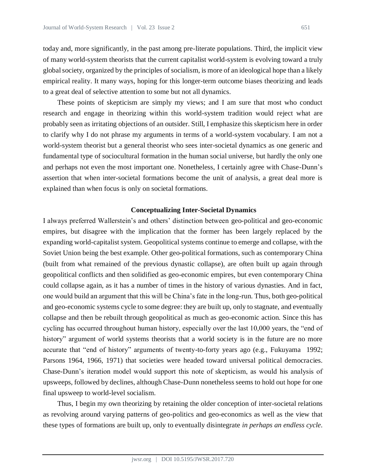today and, more significantly, in the past among pre-literate populations. Third, the implicit view of many world-system theorists that the current capitalist world-system is evolving toward a truly global society, organized by the principles of socialism, is more of an ideological hope than a likely empirical reality. It many ways, hoping for this longer-term outcome biases theorizing and leads to a great deal of selective attention to some but not all dynamics.

These points of skepticism are simply my views; and I am sure that most who conduct research and engage in theorizing within this world-system tradition would reject what are probably seen as irritating objections of an outsider. Still, I emphasize this skepticism here in order to clarify why I do not phrase my arguments in terms of a world-system vocabulary. I am not a world-system theorist but a general theorist who sees inter-societal dynamics as one generic and fundamental type of sociocultural formation in the human social universe, but hardly the only one and perhaps not even the most important one. Nonetheless, I certainly agree with Chase-Dunn's assertion that when inter-societal formations become the unit of analysis, a great deal more is explained than when focus is only on societal formations.

### **Conceptualizing Inter-Societal Dynamics**

I always preferred Wallerstein's and others' distinction between geo-political and geo-economic empires, but disagree with the implication that the former has been largely replaced by the expanding world-capitalist system. Geopolitical systems continue to emerge and collapse, with the Soviet Union being the best example. Other geo-political formations, such as contemporary China (built from what remained of the previous dynastic collapse), are often built up again through geopolitical conflicts and then solidified as geo-economic empires, but even contemporary China could collapse again, as it has a number of times in the history of various dynasties. And in fact, one would build an argument that this will be China's fate in the long-run. Thus, both geo-political and geo-economic systems cycle to some degree: they are built up, only to stagnate, and eventually collapse and then be rebuilt through geopolitical as much as geo-economic action. Since this has cycling has occurred throughout human history, especially over the last 10,000 years, the "end of history" argument of world systems theorists that a world society is in the future are no more accurate that "end of history" arguments of twenty-to-forty years ago (e.g., Fukuyama 1992; Parsons 1964, 1966, 1971) that societies were headed toward universal political democracies. Chase-Dunn's iteration model would support this note of skepticism, as would his analysis of upsweeps, followed by declines, although Chase-Dunn nonetheless seems to hold out hope for one final upsweep to world-level socialism.

Thus, I begin my own theorizing by retaining the older conception of inter-societal relations as revolving around varying patterns of geo-politics and geo-economics as well as the view that these types of formations are built up, only to eventually disintegrate *in perhaps an endless cycle*.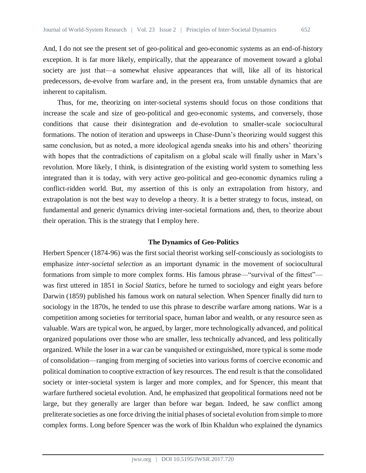And, I do not see the present set of geo-political and geo-economic systems as an end-of-history exception. It is far more likely, empirically, that the appearance of movement toward a global society are just that—a somewhat elusive appearances that will, like all of its historical predecessors, de-evolve from warfare and, in the present era, from unstable dynamics that are inherent to capitalism.

Thus, for me, theorizing on inter-societal systems should focus on those conditions that increase the scale and size of geo-political and geo-economic systems, and conversely, those conditions that cause their disintegration and de-evolution to smaller-scale sociocultural formations. The notion of iteration and upsweeps in Chase-Dunn's theorizing would suggest this same conclusion, but as noted, a more ideological agenda sneaks into his and others' theorizing with hopes that the contradictions of capitalism on a global scale will finally usher in Marx's revolution. More likely, I think, is disintegration of the existing world system to something less integrated than it is today, with very active geo-political and geo-economic dynamics ruling a conflict-ridden world. But, my assertion of this is only an extrapolation from history, and extrapolation is not the best way to develop a theory. It is a better strategy to focus, instead, on fundamental and generic dynamics driving inter-societal formations and, then, to theorize about their operation. This is the strategy that I employ here.

# **The Dynamics of Geo-Politics**

Herbert Spencer (1874-96) was the first social theorist working self-consciously as sociologists to emphasize *inter-societal selection* as an important dynamic in the movement of sociocultural formations from simple to more complex forms. His famous phrase—"survival of the fittest" was first uttered in 1851 in *Social Statics*, before he turned to sociology and eight years before Darwin (1859) published his famous work on natural selection. When Spencer finally did turn to sociology in the 1870s, he tended to use this phrase to describe warfare among nations. War is a competition among societies for territorial space, human labor and wealth, or any resource seen as valuable. Wars are typical won, he argued, by larger, more technologically advanced, and political organized populations over those who are smaller, less technically advanced, and less politically organized. While the loser in a war can be vanquished or extinguished, more typical is some mode of consolidation—ranging from merging of societies into various forms of coercive economic and political domination to cooptive extraction of key resources. The end result is that the consolidated society or inter-societal system is larger and more complex, and for Spencer, this meant that warfare furthered societal evolution. And, he emphasized that geopolitical formations need not be large, but they generally are larger than before war began. Indeed, he saw conflict among preliterate societies as one force driving the initial phases of societal evolution from simple to more complex forms. Long before Spencer was the work of Ibin Khaldun who explained the dynamics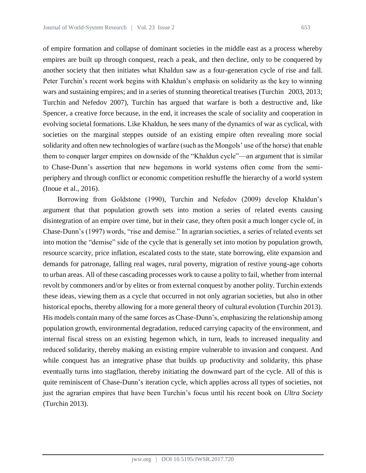of empire formation and collapse of dominant societies in the middle east as a process whereby empires are built up through conquest, reach a peak, and then decline, only to be conquered by another society that then initiates what Khaldun saw as a four-generation cycle of rise and fall. Peter Turchin's recent work begins with Khaldun's emphasis on solidarity as the key to winning wars and sustaining empires; and in a series of stunning theoretical treatises (Turchin 2003, 2013; Turchin and Nefedov 2007), Turchin has argued that warfare is both a destructive and, like Spencer, a creative force because, in the end, it increases the scale of sociality and cooperation in evolving societal formations. Like Khaldun, he sees many of the dynamics of war as cyclical, with societies on the marginal steppes outside of an existing empire often revealing more social solidarity and often new technologies of warfare (such as the Mongols' use of the horse) that enable them to conquer larger empires on downside of the "Khaldun cycle"—an argument that is similar to Chase-Dunn's assertion that new hegemons in world systems often come from the semiperiphery and through conflict or economic competition reshuffle the hierarchy of a world system (Inoue et al., 2016).

Borrowing from Goldstone (1990), Turchin and Nefedov (2009) develop Khaldun's argument that that population growth sets into motion a series of related events causing disintegration of an empire over time, but in their case, they often posit a much longer cycle of, in Chase-Dunn's (1997) words, "rise and demise." In agrarian societies, a series of related events set into motion the "demise" side of the cycle that is generally set into motion by population growth, resource scarcity, price inflation, escalated costs to the state, state borrowing, elite expansion and demands for patronage, falling real wages, rural poverty, migration of restive young-age cohorts to urban areas. All of these cascading processes work to cause a polity to fail, whether from internal revolt by commoners and/or by elites or from external conquest by another polity. Turchin extends these ideas, viewing them as a cycle that occurred in not only agrarian societies, but also in other historical epochs, thereby allowing for a more general theory of cultural evolution (Turchin 2013). His models contain many of the same forces as Chase-Dunn's, emphasizing the relationship among population growth, environmental degradation, reduced carrying capacity of the environment, and internal fiscal stress on an existing hegemon which, in turn, leads to increased inequality and reduced solidarity, thereby making an existing empire vulnerable to invasion and conquest. And while conquest has an integrative phase that builds up productivity and solidarity, this phase eventually turns into stagflation, thereby initiating the downward part of the cycle. All of this is quite reminiscent of Chase-Dunn's iteration cycle, which applies across all types of societies, not just the agrarian empires that have been Turchin's focus until his recent book on *Ultra Society* (Turchin 2013).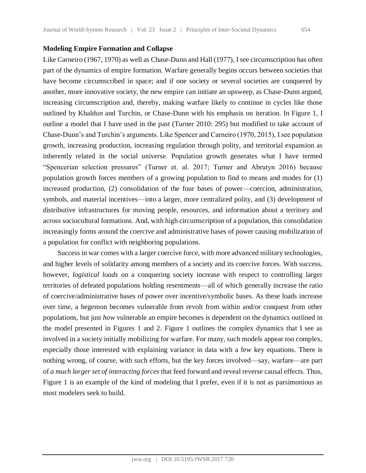### **Modeling Empire Formation and Collapse**

Like Carneiro (1967, 1970) as well as Chase-Dunn and Hall (1977), I see circumscription has often part of the dynamics of empire formation. Warfare generally begins occurs between societies that have become circumscribed in space; and if one society or several societies are conquered by another, more innovative society, the new empire can initiate an upsweep, as Chase-Dunn argued, increasing circumscription and, thereby, making warfare likely to continue in cycles like those outlined by Khaldun and Turchin, or Chase-Dunn with his emphasis on iteration. In Figure 1, I outline a model that I have used in the past (Turner 2010: 295) but modified to take account of Chase-Dunn's and Turchin's arguments. Like Spencer and Carneiro (1970, 2015), I see population growth, increasing production, increasing regulation through polity, and territorial expansion as inherently related in the social universe. Population growth generates what I have termed "Spencerian selection pressures" (Turner et. al. 2017; Turner and Abrutyn 2016) because population growth forces members of a growing population to find to means and modes for (1) increased production, (2) consolidation of the four bases of power—coercion, administration, symbols, and material incentives—into a larger, more centralized polity, and (3) development of distributive infrastructures for moving people, resources, and information about a territory and across sociocultural formations. And, with high circumscription of a population, this consolidation increasingly forms around the coercive and administrative bases of power causing mobilization of a population for conflict with neighboring populations.

Success in war comes with a larger coercive force, with more advanced military technologies, and higher levels of solidarity among members of a society and its coercive forces. With success, however, *logistical loads* on a conquering society increase with respect to controlling larger territories of defeated populations holding resentments—all of which generally increase the ratio of coercive/administrative bases of power over incentive/symbolic bases. As these loads increase over time, a hegemon becomes vulnerable from revolt from within and/or conquest from other populations, but just *how* vulnerable an empire becomes is dependent on the dynamics outlined in the model presented in Figures 1 and 2. Figure 1 outlines the complex dynamics that I see as involved in a society initially mobilizing for warfare. For many, such models appear too complex, especially those interested with explaining variance in data with a few key equations. There is nothing wrong, of course, with such efforts, but the key forces involved—say, warfare—are part of *a much larger set of interacting forces* that feed forward and reveal reverse causal effects. Thus, Figure 1 is an example of the kind of modeling that I prefer, even if it is not as parsimonious as most modelers seek to build.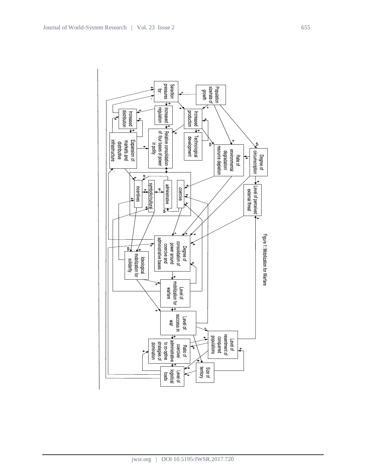

jwsr.org | DOI 10.5195/JWSR.2017.720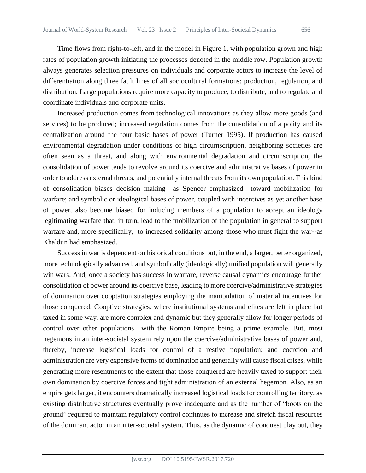Time flows from right-to-left, and in the model in Figure 1, with population grown and high rates of population growth initiating the processes denoted in the middle row. Population growth always generates selection pressures on individuals and corporate actors to increase the level of differentiation along three fault lines of all sociocultural formations: production, regulation, and distribution. Large populations require more capacity to produce, to distribute, and to regulate and coordinate individuals and corporate units.

Increased production comes from technological innovations as they allow more goods (and services) to be produced; increased regulation comes from the consolidation of a polity and its centralization around the four basic bases of power (Turner 1995). If production has caused environmental degradation under conditions of high circumscription, neighboring societies are often seen as a threat, and along with environmental degradation and circumscription, the consolidation of power tends to revolve around its coercive and administrative bases of power in order to address external threats, and potentially internal threats from its own population. This kind of consolidation biases decision making—as Spencer emphasized—toward mobilization for warfare; and symbolic or ideological bases of power, coupled with incentives as yet another base of power, also become biased for inducing members of a population to accept an ideology legitimating warfare that, in turn, lead to the mobilization of the population in general to support warfare and, more specifically, to increased solidarity among those who must fight the war--as Khaldun had emphasized.

Success in war is dependent on historical conditions but, in the end, a larger, better organized, more technologically advanced, and symbolically (ideologically) unified population will generally win wars. And, once a society has success in warfare, reverse causal dynamics encourage further consolidation of power around its coercive base, leading to more coercive/administrative strategies of domination over cooptation strategies employing the manipulation of material incentives for those conquered. Cooptive strategies, where institutional systems and elites are left in place but taxed in some way, are more complex and dynamic but they generally allow for longer periods of control over other populations—with the Roman Empire being a prime example. But, most hegemons in an inter-societal system rely upon the coercive/administrative bases of power and, thereby, increase logistical loads for control of a restive population; and coercion and administration are very expensive forms of domination and generally will cause fiscal crises, while generating more resentments to the extent that those conquered are heavily taxed to support their own domination by coercive forces and tight administration of an external hegemon. Also, as an empire gets larger, it encounters dramatically increased logistical loads for controlling territory, as existing distributive structures eventually prove inadequate and as the number of "boots on the ground" required to maintain regulatory control continues to increase and stretch fiscal resources of the dominant actor in an inter-societal system. Thus, as the dynamic of conquest play out, they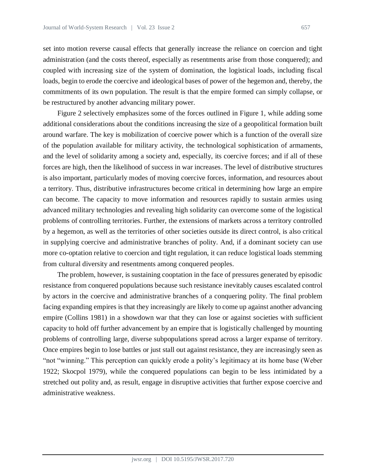set into motion reverse causal effects that generally increase the reliance on coercion and tight administration (and the costs thereof, especially as resentments arise from those conquered); and coupled with increasing size of the system of domination, the logistical loads, including fiscal loads, begin to erode the coercive and ideological bases of power of the hegemon and, thereby, the commitments of its own population. The result is that the empire formed can simply collapse, or be restructured by another advancing military power.

Figure 2 selectively emphasizes some of the forces outlined in Figure 1, while adding some additional considerations about the conditions increasing the size of a geopolitical formation built around warfare. The key is mobilization of coercive power which is a function of the overall size of the population available for military activity, the technological sophistication of armaments, and the level of solidarity among a society and, especially, its coercive forces; and if all of these forces are high, then the likelihood of success in war increases. The level of distributive structures is also important, particularly modes of moving coercive forces, information, and resources about a territory. Thus, distributive infrastructures become critical in determining how large an empire can become. The capacity to move information and resources rapidly to sustain armies using advanced military technologies and revealing high solidarity can overcome some of the logistical problems of controlling territories. Further, the extensions of markets across a territory controlled by a hegemon, as well as the territories of other societies outside its direct control, is also critical in supplying coercive and administrative branches of polity. And, if a dominant society can use more co-optation relative to coercion and tight regulation, it can reduce logistical loads stemming from cultural diversity and resentments among conquered peoples.

The problem, however, is sustaining cooptation in the face of pressures generated by episodic resistance from conquered populations because such resistance inevitably causes escalated control by actors in the coercive and administrative branches of a conquering polity. The final problem facing expanding empires is that they increasingly are likely to come up against another advancing empire (Collins 1981) in a showdown war that they can lose or against societies with sufficient capacity to hold off further advancement by an empire that is logistically challenged by mounting problems of controlling large, diverse subpopulations spread across a larger expanse of territory. Once empires begin to lose battles or just stall out against resistance, they are increasingly seen as "not "winning." This perception can quickly erode a polity's legitimacy at its home base (Weber 1922; Skocpol 1979), while the conquered populations can begin to be less intimidated by a stretched out polity and, as result, engage in disruptive activities that further expose coercive and administrative weakness.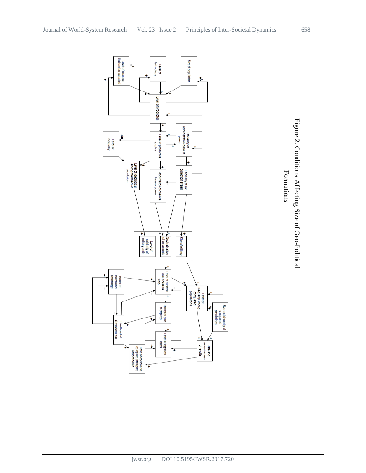

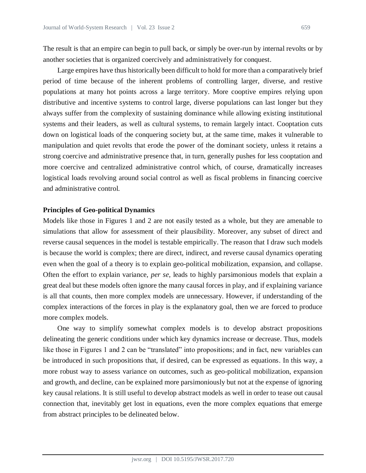The result is that an empire can begin to pull back, or simply be over-run by internal revolts or by another societies that is organized coercively and administratively for conquest.

Large empires have thus historically been difficult to hold for more than a comparatively brief period of time because of the inherent problems of controlling larger, diverse, and restive populations at many hot points across a large territory. More cooptive empires relying upon distributive and incentive systems to control large, diverse populations can last longer but they always suffer from the complexity of sustaining dominance while allowing existing institutional systems and their leaders, as well as cultural systems, to remain largely intact. Cooptation cuts down on logistical loads of the conquering society but, at the same time, makes it vulnerable to manipulation and quiet revolts that erode the power of the dominant society, unless it retains a strong coercive and administrative presence that, in turn, generally pushes for less cooptation and more coercive and centralized administrative control which, of course, dramatically increases logistical loads revolving around social control as well as fiscal problems in financing coercive and administrative control.

#### **Principles of Geo-political Dynamics**

Models like those in Figures 1 and 2 are not easily tested as a whole, but they are amenable to simulations that allow for assessment of their plausibility. Moreover, any subset of direct and reverse causal sequences in the model is testable empirically. The reason that I draw such models is because the world is complex; there are direct, indirect, and reverse causal dynamics operating even when the goal of a theory is to explain geo-political mobilization, expansion, and collapse. Often the effort to explain variance, *per se*, leads to highly parsimonious models that explain a great deal but these models often ignore the many causal forces in play, and if explaining variance is all that counts, then more complex models are unnecessary. However, if understanding of the complex interactions of the forces in play is the explanatory goal, then we are forced to produce more complex models.

One way to simplify somewhat complex models is to develop abstract propositions delineating the generic conditions under which key dynamics increase or decrease. Thus, models like those in Figures 1 and 2 can be "translated" into propositions; and in fact, new variables can be introduced in such propositions that, if desired, can be expressed as equations. In this way, a more robust way to assess variance on outcomes, such as geo-political mobilization, expansion and growth, and decline, can be explained more parsimoniously but not at the expense of ignoring key causal relations. It is still useful to develop abstract models as well in order to tease out causal connection that, inevitably get lost in equations, even the more complex equations that emerge from abstract principles to be delineated below.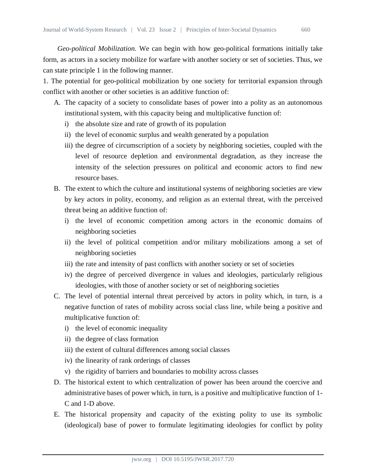*Geo-political Mobilization.* We can begin with how geo-political formations initially take form, as actors in a society mobilize for warfare with another society or set of societies. Thus, we can state principle 1 in the following manner.

1. The potential for geo-political mobilization by one society for territorial expansion through conflict with another or other societies is an additive function of:

- A. The capacity of a society to consolidate bases of power into a polity as an autonomous institutional system, with this capacity being and multiplicative function of:
	- i) the absolute size and rate of growth of its population
	- ii) the level of economic surplus and wealth generated by a population
	- iii) the degree of circumscription of a society by neighboring societies, coupled with the level of resource depletion and environmental degradation, as they increase the intensity of the selection pressures on political and economic actors to find new resource bases.
- B. The extent to which the culture and institutional systems of neighboring societies are view by key actors in polity, economy, and religion as an external threat, with the perceived threat being an additive function of:
	- i) the level of economic competition among actors in the economic domains of neighboring societies
	- ii) the level of political competition and/or military mobilizations among a set of neighboring societies
	- iii) the rate and intensity of past conflicts with another society or set of societies
	- iv) the degree of perceived divergence in values and ideologies, particularly religious ideologies, with those of another society or set of neighboring societies
- C. The level of potential internal threat perceived by actors in polity which, in turn, is a negative function of rates of mobility across social class line, while being a positive and multiplicative function of:
	- i) the level of economic inequality
	- ii) the degree of class formation
	- iii) the extent of cultural differences among social classes
	- iv) the linearity of rank orderings of classes
	- v) the rigidity of barriers and boundaries to mobility across classes
- D. The historical extent to which centralization of power has been around the coercive and administrative bases of power which, in turn, is a positive and multiplicative function of 1- C and 1-D above.
- E. The historical propensity and capacity of the existing polity to use its symbolic (ideological) base of power to formulate legitimating ideologies for conflict by polity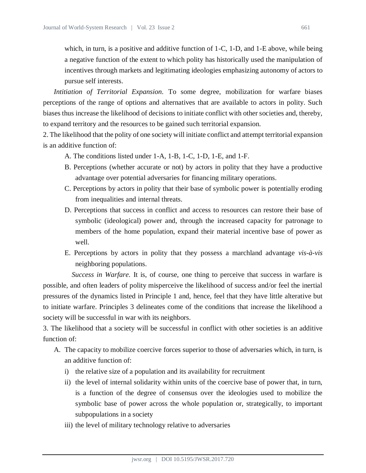which, in turn, is a positive and additive function of 1-C, 1-D, and 1-E above, while being a negative function of the extent to which polity has historically used the manipulation of incentives through markets and legitimating ideologies emphasizing autonomy of actors to pursue self interests.

*Intitiation of Territorial Expansion.* To some degree, mobilization for warfare biases perceptions of the range of options and alternatives that are available to actors in polity. Such biases thus increase the likelihood of decisions to initiate conflict with other societies and, thereby, to expand territory and the resources to be gained such territorial expansion.

2. The likelihood that the polity of one society will initiate conflict and attempt territorial expansion is an additive function of:

- A. The conditions listed under 1-A, 1-B, 1-C, 1-D, 1-E, and 1-F.
- B. Perceptions (whether accurate or not) by actors in polity that they have a productive advantage over potential adversaries for financing military operations.
- C. Perceptions by actors in polity that their base of symbolic power is potentially eroding from inequalities and internal threats.
- D. Perceptions that success in conflict and access to resources can restore their base of symbolic (ideological) power and, through the increased capacity for patronage to members of the home population, expand their material incentive base of power as well.
- E. Perceptions by actors in polity that they possess a marchland advantage *vis-à-vis* neighboring populations.

*Success in Warfare.* It is, of course, one thing to perceive that success in warfare is possible, and often leaders of polity misperceive the likelihood of success and/or feel the inertial pressures of the dynamics listed in Principle 1 and, hence, feel that they have little alterative but to initiate warfare. Principles 3 delineates come of the conditions that increase the likelihood a society will be successful in war with its neighbors.

3. The likelihood that a society will be successful in conflict with other societies is an additive function of:

- A. The capacity to mobilize coercive forces superior to those of adversaries which, in turn, is an additive function of:
	- i) the relative size of a population and its availability for recruitment
	- ii) the level of internal solidarity within units of the coercive base of power that, in turn, is a function of the degree of consensus over the ideologies used to mobilize the symbolic base of power across the whole population or, strategically, to important subpopulations in a society
	- iii) the level of military technology relative to adversaries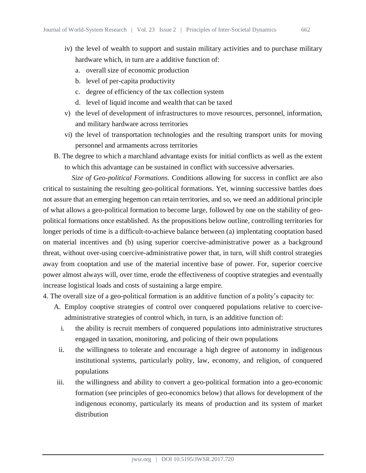- iv) the level of wealth to support and sustain military activities and to purchase military hardware which, in turn are a additive function of:
	- a. overall size of economic production
	- b. level of per-capita productivity
	- c. degree of efficiency of the tax collection system
	- d. level of liquid income and wealth that can be taxed
- v) the level of development of infrastructures to move resources, personnel, information, and military hardware across territories
- vi) the level of transportation technologies and the resulting transport units for moving personnel and armaments across territories
- B. The degree to which a marchland advantage exists for initial conflicts as well as the extent to which this advantage can be sustained in conflict with successive adversaries.

*Size of Geo-political Formations.* Conditions allowing for success in conflict are also critical to sustaining the resulting geo-political formations. Yet, winning successive battles does not assure that an emerging hegemon can retain territories, and so, we need an additional principle of what allows a geo-political formation to become large, followed by one on the stability of geopolitical formations once established. As the propositions below outline, controlling territories for longer periods of time is a difficult-to-achieve balance between (a) implentating cooptation based on material incentives and (b) using superior coercive-administrative power as a background threat, without over-using coercive-administrative power that, in turn, will shift control strategies away from cooptation and use of the material incentive base of power. For, superior coercive power almost always will, over time, erode the effectiveness of cooptive strategies and eventually increase logistical loads and costs of sustaining a large empire.

- 4. The overall size of a geo-political formation is an additive function of a polity's capacity to:
	- A. Employ cooptive strategies of control over conquered populations relative to coerciveadministrative strategies of control which, in turn, is an additive function of:
		- i. the ability is recruit members of conquered populations into administrative structures engaged in taxation, monitoring, and policing of their own populations
		- ii. the willingness to tolerate and encourage a high degree of autonomy in indigenous institutional systems, particularly polity, law, economy, and religion, of conquered populations
	- iii. the willingness and ability to convert a geo-political formation into a geo-economic formation (see principles of geo-economics below) that allows for development of the indigenous economy, particularly its means of production and its system of market distribution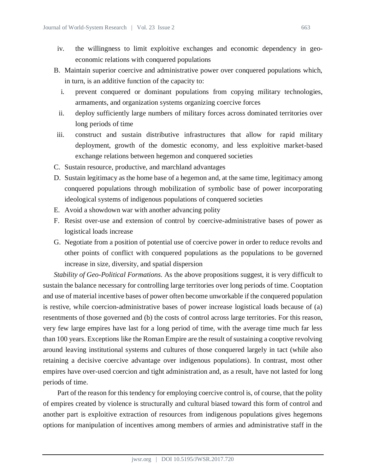- iv. the willingness to limit exploitive exchanges and economic dependency in geoeconomic relations with conquered populations
- B. Maintain superior coercive and administrative power over conquered populations which, in turn, is an additive function of the capacity to:
	- i. prevent conquered or dominant populations from copying military technologies, armaments, and organization systems organizing coercive forces
	- ii. deploy sufficiently large numbers of military forces across dominated territories over long periods of time
- iii. construct and sustain distributive infrastructures that allow for rapid military deployment, growth of the domestic economy, and less exploitive market-based exchange relations between hegemon and conquered societies
- C. Sustain resource, productive, and marchland advantages
- D. Sustain legitimacy as the home base of a hegemon and, at the same time, legitimacy among conquered populations through mobilization of symbolic base of power incorporating ideological systems of indigenous populations of conquered societies
- E. Avoid a showdown war with another advancing polity
- F. Resist over-use and extension of control by coercive-administrative bases of power as logistical loads increase
- G. Negotiate from a position of potential use of coercive power in order to reduce revolts and other points of conflict with conquered populations as the populations to be governed increase in size, diversity, and spatial dispersion

*Stability of Geo-Political Formations.* As the above propositions suggest, it is very difficult to sustain the balance necessary for controlling large territories over long periods of time. Cooptation and use of material incentive bases of power often become unworkable if the conquered population is restive, while coercion-administrative bases of power increase logistical loads because of (a) resentments of those governed and (b) the costs of control across large territories. For this reason, very few large empires have last for a long period of time, with the average time much far less than 100 years. Exceptions like the Roman Empire are the result of sustaining a cooptive revolving around leaving institutional systems and cultures of those conquered largely in tact (while also retaining a decisive coercive advantage over indigenous populations). In contrast, most other empires have over-used coercion and tight administration and, as a result, have not lasted for long periods of time.

Part of the reason for this tendency for employing coercive control is, of course, that the polity of empires created by violence is structurally and cultural biased toward this form of control and another part is exploitive extraction of resources from indigenous populations gives hegemons options for manipulation of incentives among members of armies and administrative staff in the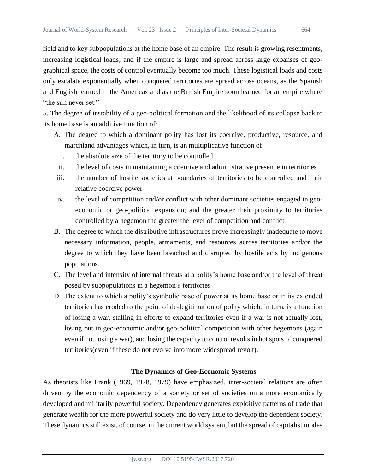field and to key subpopulations at the home base of an empire. The result is growing resentments, increasing logistical loads; and if the empire is large and spread across large expanses of geographical space, the costs of control eventually become too much. These logistical loads and costs only escalate exponentially when conquered territories are spread across oceans, as the Spanish and English learned in the Americas and as the British Empire soon learned for an empire where "the sun never set."

5. The degree of instability of a geo-political formation and the likelihood of its collapse back to its home base is an additive function of:

- A. The degree to which a dominant polity has lost its coercive, productive, resource, and marchland advantages which, in turn, is an multiplicative function of:
	- i. the absolute size of the territory to be controlled
	- ii. the level of costs in maintaining a coercive and administrative presence in territories
- iii. the number of hostile societies at boundaries of territories to be controlled and their relative coercive power
- iv. the level of competition and/or conflict with other dominant societies engaged in geoeconomic or geo-political expansion; and the greater their proximity to territories controlled by a hegemon the greater the level of competition and conflict
- B. The degree to which the distributive infrastructures prove increasingly inadequate to move necessary information, people, armaments, and resources across territories and/or the degree to which they have been breached and disrupted by hostile acts by indigenous populations.
- C. The level and intensity of internal threats at a polity's home base and/or the level of threat posed by subpopulations in a hegemon's territories
- D. The extent to which a polity's symbolic base of power at its home base or in its extended territories has eroded to the point of de-legitimation of polity which, in turn, is a function of losing a war, stalling in efforts to expand territories even if a war is not actually lost, losing out in geo-economic and/or geo-political competition with other hegemons (again even if not losing a war), and losing the capacity to control revolts in hot spots of conquered territories(even if these do not evolve into more widespread revolt).

# **The Dynamics of Geo-Economic Systems**

As theorists like Frank (1969, 1978, 1979) have emphasized, inter-societal relations are often driven by the economic dependency of a society or set of societies on a more economically developed and militarily powerful society. Dependency generates exploitive patterns of trade that generate wealth for the more powerful society and do very little to develop the dependent society. These dynamics still exist, of course, in the current world system, but the spread of capitalist modes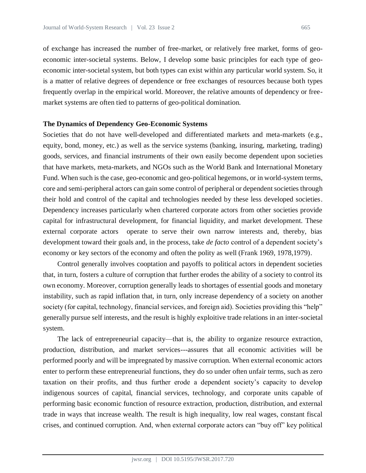of exchange has increased the number of free-market, or relatively free market, forms of geoeconomic inter-societal systems. Below, I develop some basic principles for each type of geoeconomic inter-societal system, but both types can exist within any particular world system. So, it is a matter of relative degrees of dependence or free exchanges of resources because both types frequently overlap in the empirical world. Moreover, the relative amounts of dependency or freemarket systems are often tied to patterns of geo-political domination.

### **The Dynamics of Dependency Geo-Economic Systems**

Societies that do not have well-developed and differentiated markets and meta-markets (e.g., equity, bond, money, etc.) as well as the service systems (banking, insuring, marketing, trading) goods, services, and financial instruments of their own easily become dependent upon societies that have markets, meta-markets, and NGOs such as the World Bank and International Monetary Fund. When such is the case, geo-economic and geo-political hegemons, or in world-system terms, core and semi-peripheral actors can gain some control of peripheral or dependent societies through their hold and control of the capital and technologies needed by these less developed societies. Dependency increases particularly when chartered corporate actors from other societies provide capital for infrastructural development, for financial liquidity, and market development. These external corporate actors operate to serve their own narrow interests and, thereby, bias development toward their goals and, in the process, take *de facto* control of a dependent society's economy or key sectors of the economy and often the polity as well (Frank 1969, 1978,1979).

Control generally involves cooptation and payoffs to political actors in dependent societies that, in turn, fosters a culture of corruption that further erodes the ability of a society to control its own economy. Moreover, corruption generally leads to shortages of essential goods and monetary instability, such as rapid inflation that, in turn, only increase dependency of a society on another society (for capital, technology, financial services, and foreign aid). Societies providing this "help" generally pursue self interests, and the result is highly exploitive trade relations in an inter-societal system.

The lack of entrepreneurial capacity—that is, the ability to organize resource extraction, production, distribution, and market services---assures that all economic activities will be performed poorly and will be impregnated by massive corruption. When external economic actors enter to perform these entrepreneurial functions, they do so under often unfair terms, such as zero taxation on their profits, and thus further erode a dependent society's capacity to develop indigenous sources of capital, financial services, technology, and corporate units capable of performing basic economic function of resource extraction, production, distribution, and external trade in ways that increase wealth. The result is high inequality, low real wages, constant fiscal crises, and continued corruption. And, when external corporate actors can "buy off" key political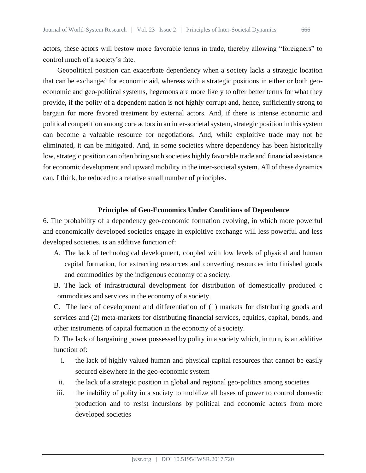actors, these actors will bestow more favorable terms in trade, thereby allowing "foreigners" to control much of a society's fate.

Geopolitical position can exacerbate dependency when a society lacks a strategic location that can be exchanged for economic aid, whereas with a strategic positions in either or both geoeconomic and geo-political systems, hegemons are more likely to offer better terms for what they provide, if the polity of a dependent nation is not highly corrupt and, hence, sufficiently strong to bargain for more favored treatment by external actors. And, if there is intense economic and political competition among core actors in an inter-societal system, strategic position in this system can become a valuable resource for negotiations. And, while exploitive trade may not be eliminated, it can be mitigated. And, in some societies where dependency has been historically low, strategic position can often bring such societies highly favorable trade and financial assistance for economic development and upward mobility in the inter-societal system. All of these dynamics can, I think, be reduced to a relative small number of principles.

## **Principles of Geo-Economics Under Conditions of Dependence**

6. The probability of a dependency geo-economic formation evolving, in which more powerful and economically developed societies engage in exploitive exchange will less powerful and less developed societies, is an additive function of:

- A. The lack of technological development, coupled with low levels of physical and human capital formation, for extracting resources and converting resources into finished goods and commodities by the indigenous economy of a society.
- B. The lack of infrastructural development for distribution of domestically produced c ommodities and services in the economy of a society.

C. The lack of development and differentiation of (1) markets for distributing goods and services and (2) meta-markets for distributing financial services, equities, capital, bonds, and other instruments of capital formation in the economy of a society.

D. The lack of bargaining power possessed by polity in a society which, in turn, is an additive function of:

- i. the lack of highly valued human and physical capital resources that cannot be easily secured elsewhere in the geo-economic system
- ii. the lack of a strategic position in global and regional geo-politics among societies
- iii. the inability of polity in a society to mobilize all bases of power to control domestic production and to resist incursions by political and economic actors from more developed societies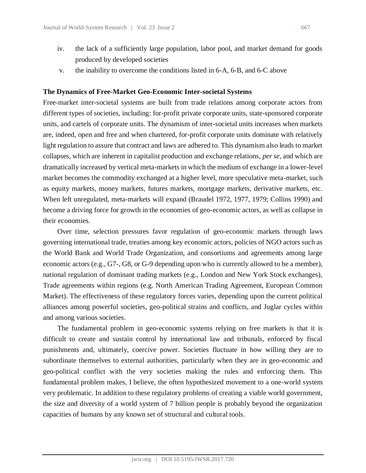- iv. the lack of a sufficiently large population, labor pool, and market demand for goods produced by developed societies
- v. the inability to overcome the conditions listed in 6-A, 6-B, and 6-C above

#### **The Dynamics of Free-Market Geo-Economic Inter-societal Systems**

Free-market inter-societal systems are built from trade relations among corporate actors from different types of societies, including: for-profit private corporate units, state-sponsored corporate units, and cartels of corporate units. The dynamism of inter-societal units increases when markets are, indeed, open and free and when chartered, for-profit corporate units dominate with relatively light regulation to assure that contract and laws are adhered to. This dynamism also leads to market collapses, which are inherent in capitalist production and exchange relations, *per se*, and which are dramatically increased by vertical meta-markets in which the medium of exchange in a lower-level market becomes the commodity exchanged at a higher level, more speculative meta-market, such as equity markets, money markets, futures markets, mortgage markets, derivative markets, etc. When left unregulated, meta-markets will expand (Braudel 1972, 1977, 1979; Collins 1990) and become a driving force for growth in the economies of geo-economic actors, as well as collapse in their economies.

Over time, selection pressures favor regulation of geo-economic markets through laws governing international trade, treaties among key economic actors, policies of NGO actors such as the World Bank and World Trade Organization, and consortiums and agreements among large economic actors (e.g., G7-, G8, or G-9 depending upon who is currently allowed to be a member), national regulation of dominant trading markets (e.g., London and New York Stock exchanges), Trade agreements within regions (e.g. North American Trading Agreement, European Common Market). The effectiveness of these regulatory forces varies, depending upon the current political alliances among powerful societies, geo-political strains and conflicts, and Juglar cycles within and among various societies.

The fundamental problem in geo-economic systems relying on free markets is that it is difficult to create and sustain control by international law and tribunals, enforced by fiscal punishments and, ultimately, coercive power. Societies fluctuate in how willing they are to subordinate themselves to external authorities, particularly when they are in geo-economic and geo-political conflict with the very societies making the rules and enforcing them. This fundamental problem makes, I believe, the often hypothesized movement to a one-world system very problematic. In addition to these regulatory problems of creating a viable world government, the size and diversity of a world system of 7 billion people is probably beyond the organization capacities of humans by any known set of structural and cultural tools.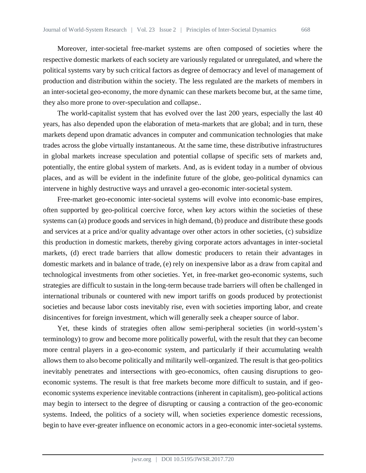Moreover, inter-societal free-market systems are often composed of societies where the respective domestic markets of each society are variously regulated or unregulated, and where the political systems vary by such critical factors as degree of democracy and level of management of production and distribution within the society. The less regulated are the markets of members in an inter-societal geo-economy, the more dynamic can these markets become but, at the same time, they also more prone to over-speculation and collapse..

The world-capitalist system that has evolved over the last 200 years, especially the last 40 years, has also depended upon the elaboration of meta-markets that are global; and in turn, these markets depend upon dramatic advances in computer and communication technologies that make trades across the globe virtually instantaneous. At the same time, these distributive infrastructures in global markets increase speculation and potential collapse of specific sets of markets and, potentially, the entire global system of markets. And, as is evident today in a number of obvious places, and as will be evident in the indefinite future of the globe, geo-political dynamics can intervene in highly destructive ways and unravel a geo-economic inter-societal system.

Free-market geo-economic inter-societal systems will evolve into economic-base empires, often supported by geo-political coercive force, when key actors within the societies of these systems can (a) produce goods and services in high demand, (b) produce and distribute these goods and services at a price and/or quality advantage over other actors in other societies, (c) subsidize this production in domestic markets, thereby giving corporate actors advantages in inter-societal markets, (d) erect trade barriers that allow domestic producers to retain their advantages in domestic markets and in balance of trade, (e) rely on inexpensive labor as a draw from capital and technological investments from other societies. Yet, in free-market geo-economic systems, such strategies are difficult to sustain in the long-term because trade barriers will often be challenged in international tribunals or countered with new import tariffs on goods produced by protectionist societies and because labor costs inevitably rise, even with societies importing labor, and create disincentives for foreign investment, which will generally seek a cheaper source of labor.

Yet, these kinds of strategies often allow semi-peripheral societies (in world-system's terminology) to grow and become more politically powerful, with the result that they can become more central players in a geo-economic system, and particularly if their accumulating wealth allows them to also become politically and militarily well-organized. The result is that geo-politics inevitably penetrates and intersections with geo-economics, often causing disruptions to geoeconomic systems. The result is that free markets become more difficult to sustain, and if geoeconomic systems experience inevitable contractions (inherent in capitalism), geo-political actions may begin to intersect to the degree of disrupting or causing a contraction of the geo-economic systems. Indeed, the politics of a society will, when societies experience domestic recessions, begin to have ever-greater influence on economic actors in a geo-economic inter-societal systems.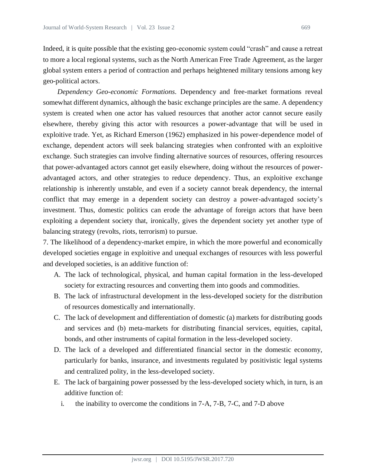Indeed, it is quite possible that the existing geo-economic system could "crash" and cause a retreat to more a local regional systems, such as the North American Free Trade Agreement, as the larger global system enters a period of contraction and perhaps heightened military tensions among key geo-political actors.

*Dependency Geo-economic Formations.* Dependency and free-market formations reveal somewhat different dynamics, although the basic exchange principles are the same. A dependency system is created when one actor has valued resources that another actor cannot secure easily elsewhere, thereby giving this actor with resources a power-advantage that will be used in exploitive trade. Yet, as Richard Emerson (1962) emphasized in his power-dependence model of exchange, dependent actors will seek balancing strategies when confronted with an exploitive exchange. Such strategies can involve finding alternative sources of resources, offering resources that power-advantaged actors cannot get easily elsewhere, doing without the resources of poweradvantaged actors, and other strategies to reduce dependency. Thus, an exploitive exchange relationship is inherently unstable, and even if a society cannot break dependency, the internal conflict that may emerge in a dependent society can destroy a power-advantaged society's investment. Thus, domestic politics can erode the advantage of foreign actors that have been exploiting a dependent society that, ironically, gives the dependent society yet another type of balancing strategy (revolts, riots, terrorism) to pursue.

7. The likelihood of a dependency-market empire, in which the more powerful and economically developed societies engage in exploitive and unequal exchanges of resources with less powerful and developed societies, is an additive function of:

- A. The lack of technological, physical, and human capital formation in the less-developed society for extracting resources and converting them into goods and commodities.
- B. The lack of infrastructural development in the less-developed society for the distribution of resources domestically and internationally.
- C. The lack of development and differentiation of domestic (a) markets for distributing goods and services and (b) meta-markets for distributing financial services, equities, capital, bonds, and other instruments of capital formation in the less-developed society.
- D. The lack of a developed and differentiated financial sector in the domestic economy, particularly for banks, insurance, and investments regulated by positivistic legal systems and centralized polity, in the less-developed society.
- E. The lack of bargaining power possessed by the less-developed society which, in turn, is an additive function of:
	- i. the inability to overcome the conditions in 7-A, 7-B, 7-C, and 7-D above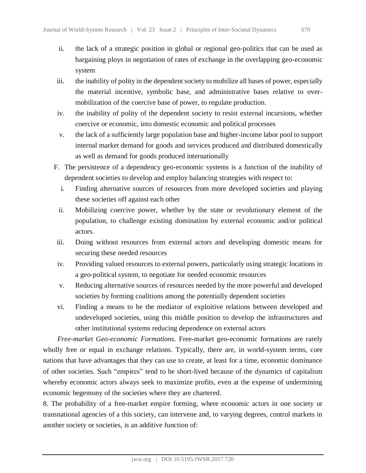- 
- ii. the lack of a strategic position in global or regional geo-politics that can be used as bargaining ploys in negotiation of rates of exchange in the overlapping geo-economic system
- iii. the inability of polity in the dependent society to mobilize all bases of power, especially the material incentive, symbolic base, and administrative bases relative to overmobilization of the coercive base of power, to regulate production.
- iv. the inability of polity of the dependent society to resist external incursions, whether coercive or economic, into domestic economic and political processes
- v. the lack of a sufficiently large population base and higher-income labor pool to support internal market demand for goods and services produced and distributed domestically as well as demand for goods produced internationally
- F. The persistence of a dependency geo-economic systems is a function of the inability of dependent societies to develop and employ balancing strategies with respect to:
	- i. Finding alternative sources of resources from more developed societies and playing these societies off against each other
	- ii. Mobilizing coercive power, whether by the state or revolutionary element of the population, to challenge existing domination by external economic and/or political actors.
- iii. Doing without resources from external actors and developing domestic means for securing these needed resources
- iv. Providing valued resources to external powers, particularly using strategic locations in a geo-political system, to negotiate for needed economic resources
- v. Reducing alternative sources of resources needed by the more powerful and developed societies by forming coalitions among the potentially dependent societies
- vi. Finding a means to be the mediator of exploitive relations between developed and undeveloped societies, using this middle position to develop the infrastructures and other institutional systems reducing dependence on external actors

*Free-market Geo-economic Formations.* Free-market geo-economic formations are rarely wholly free or equal in exchange relations. Typically, there are, in world-system terms, core nations that have advantages that they can use to create, at least for a time, economic dominance of other societies. Such "empires" tend to be short-lived because of the dynamics of capitalism whereby economic actors always seek to maximize profits, even at the expense of undermining economic hegemony of the societies where they are chartered.

8. The probability of a free-market empire forming, where economic actors in one society or transnational agencies of a this society, can intervene and, to varying degrees, control markets in another society or societies, is an additive function of: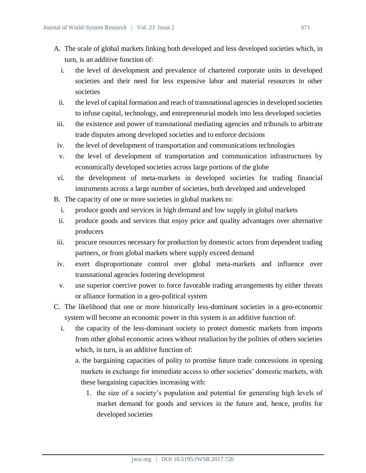- A. The scale of global markets linking both developed and less developed societies which, in turn, is an additive function of:
	- i. the level of development and prevalence of chartered corporate units in developed societies and their need for less expensive labor and material resources in other societies
	- ii. the level of capital formation and reach of transnational agencies in developed societies to infuse capital, technology, and entrepreneurial models into less developed societies
- iii. the existence and power of transnational mediating agencies and tribunals to arbitrate trade disputes among developed societies and to enforce decisions
- iv. the level of development of transportation and communications technologies
- v. the level of development of transportation and communication infrastructures by economically developed societies across large portions of the globe
- vi. the development of meta-markets in developed societies for trading financial instruments across a large number of societies, both developed and undeveloped
- B. The capacity of one or more societies in global markets to:
	- i. produce goods and services in high demand and low supply in global markets
	- ii. produce goods and services that enjoy price and quality advantages over alternative producers
- iii. procure resources necessary for production by domestic actors from dependent trading partners, or from global markets where supply exceed demand
- iv. exert disproportionate control over global meta-markets and influence over transnational agencies fostering development
- v. use superior coercive power to force favorable trading arrangements by either threats or alliance formation in a geo-political system
- C. The likelihood that one or more historically less-dominant societies in a geo-economic system will become an economic power in this system is an additive function of:
	- i. the capacity of the less-dominant society to protect domestic markets from imports from other global economic actors without retaliation by the polities of others societies which, in turn, is an additive function of:
		- a. the bargaining capacities of polity to promise future trade concessions in opening markets in exchange for immediate access to other societies' domestic markets, with these bargaining capacities increasing with:
			- 1. the size of a society's population and potential for generating high levels of market demand for goods and services in the future and, hence, profits for developed societies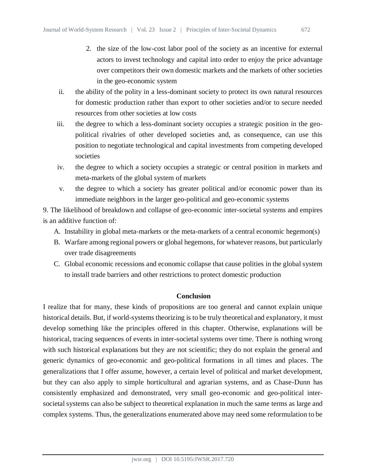- 2. the size of the low-cost labor pool of the society as an incentive for external actors to invest technology and capital into order to enjoy the price advantage over competitors their own domestic markets and the markets of other societies in the geo-economic system
- ii. the ability of the polity in a less-dominant society to protect its own natural resources for domestic production rather than export to other societies and/or to secure needed resources from other societies at low costs
- iii. the degree to which a less-dominant society occupies a strategic position in the geopolitical rivalries of other developed societies and, as consequence, can use this position to negotiate technological and capital investments from competing developed societies
- iv. the degree to which a society occupies a strategic or central position in markets and meta-markets of the global system of markets
- v. the degree to which a society has greater political and/or economic power than its immediate neighbors in the larger geo-political and geo-economic systems

9. The likelihood of breakdown and collapse of geo-economic inter-societal systems and empires is an additive function of:

- A. Instability in global meta-markets or the meta-markets of a central economic hegemon(s)
- B. Warfare among regional powers or global hegemons, for whatever reasons, but particularly over trade disagreements
- C. Global economic recessions and economic collapse that cause polities in the global system to install trade barriers and other restrictions to protect domestic production

# **Conclusion**

I realize that for many, these kinds of propositions are too general and cannot explain unique historical details. But, if world-systems theorizing is to be truly theoretical and explanatory, it must develop something like the principles offered in this chapter. Otherwise, explanations will be historical, tracing sequences of events in inter-societal systems over time. There is nothing wrong with such historical explanations but they are not scientific; they do not explain the general and generic dynamics of geo-economic and geo-political formations in all times and places. The generalizations that I offer assume, however, a certain level of political and market development, but they can also apply to simple horticultural and agrarian systems, and as Chase-Dunn has consistently emphasized and demonstrated, very small geo-economic and geo-political intersocietal systems can also be subject to theoretical explanation in much the same terms as large and complex systems. Thus, the generalizations enumerated above may need some reformulation to be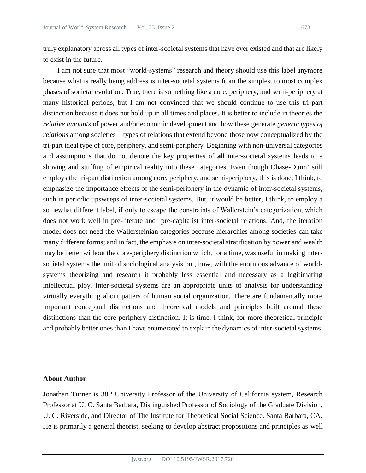truly explanatory across all types of inter-societal systems that have ever existed and that are likely to exist in the future.

I am not sure that most "world-systems" research and theory should use this label anymore because what is really being address is inter-societal systems from the simplest to most complex phases of societal evolution. True, there is something like a core, periphery, and semi-periphery at many historical periods, but I am not convinced that we should continue to use this tri-part distinction because it does not hold up in all times and places. It is better to include in theories the *relative amounts* of power and/or economic development and how these generate *generic types of relations* among societies—types of relations that extend beyond those now conceptualized by the tri-part ideal type of core, periphery, and semi-periphery. Beginning with non-universal categories and assumptions that do not denote the key properties of **all** inter-societal systems leads to a shoving and stuffing of empirical reality into these categories. Even though Chase-Dunn' still employs the tri-part distinction among core, periphery, and semi-periphery, this is done, I think, to emphasize the importance effects of the semi-periphery in the dynamic of inter-societal systems, such in periodic upsweeps of inter-societal systems. But, it would be better, I think, to employ a somewhat different label, if only to escape the constraints of Wallerstein's categorization, which does not work well in pre-literate and pre-capitalist inter-societal relations. And, the iteration model does not need the Wallersteinian categories because hierarchies among societies can take many different forms; and in fact, the emphasis on inter-societal stratification by power and wealth may be better without the core-periphery distinction which, for a time, was useful in making intersocietal systems the unit of sociological analysis but, now, with the enormous advance of worldsystems theorizing and research it probably less essential and necessary as a legitimating intellectual ploy. Inter-societal systems are an appropriate units of analysis for understanding virtually everything about patters of human social organization. There are fundamentally more important conceptual distinctions and theoretical models and principles built around these distinctions than the core-periphery distinction. It is time, I think, for more theoretical principle and probably better ones than I have enumerated to explain the dynamics of inter-societal systems.

# **About Author**

Jonathan Turner is 38th University Professor of the University of California system, Research Professor at U. C. Santa Barbara, Distinguished Professor of Sociology of the Graduate Division, U. C. Riverside, and Director of The Institute for Theoretical Social Science, Santa Barbara, CA. He is primarily a general theorist, seeking to develop abstract propositions and principles as well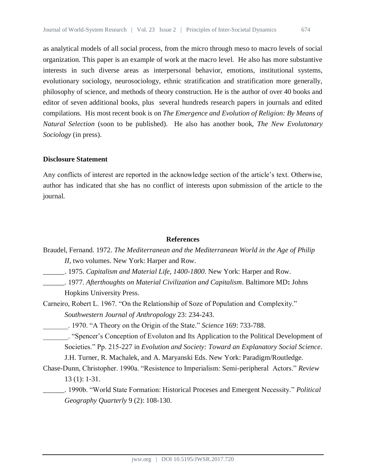as analytical models of all social process, from the micro through meso to macro levels of social organization. This paper is an example of work at the macro level. He also has more substantive interests in such diverse areas as interpersonal behavior, emotions, institutional systems, evolutionary sociology, neurosociology, ethnic stratification and stratification more generally, philosophy of science, and methods of theory construction. He is the author of over 40 books and editor of seven additional books, plus several hundreds research papers in journals and edited compilations. His most recent book is on *The Emergence and Evolution of Religion: By Means of Natural Selection* (soon to be published). He also has another book, *The New Evolutonary Sociology* (in press).

## **Disclosure Statement**

Any conflicts of interest are reported in the acknowledge section of the article's text. Otherwise, author has indicated that she has no conflict of interests upon submission of the article to the journal.

## **References**

Braudel, Fernand. 1972. *The Mediterranean and the Mediterranean World in the Age of Philip II*, two volumes. New York: Harper and Row.

- \_\_\_\_\_\_. 1975. *Capitalism and Material Life, 1400-1800*. New York: Harper and Row.
- \_\_\_\_\_\_. 1977. *Afterthoughts on Material Civilization and Capitalism*. Baltimore MD**:** Johns Hopkins University Press.
- Carneiro, Robert L. 1967. "On the Relationship of Soze of Population and Complexity." *Southwestern Journal of Anthropology* 23: 234-243.
- \_\_\_\_\_\_\_. 1970. "A Theory on the Origin of the State." *Science* 169: 733-788.
- \_\_\_\_\_\_\_. "Spencer's Conception of Evoluton and Its Application to the Political Development of Societies." Pp. 215-227 in *Evolution and Society: Toward an Explanatory Social Science*. J.H. Turner, R. Machalek, and A. Maryanski Eds. New York: Paradigm/Routledge.
- Chase-Dunn, Christopher. 1990a. "Resistence to Imperialism: Semi-peripheral Actors." *Review* 13 (1): 1-31.

\_\_\_\_\_\_. 1990b. "World State Formation: Historical Proceses and Emergent Necessity." *Political Geography Quarterly* 9 (2): 108-130.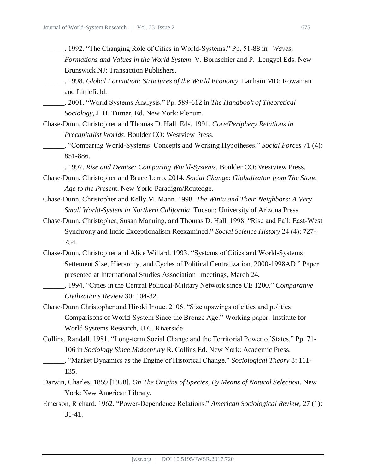- \_\_\_\_\_\_. 1992. "The Changing Role of Cities in World-Systems." Pp. 51-88 in *Waves, Formations and Values in the World System*. V. Bornschier and P. Lengyel Eds. New Brunswick NJ: Transaction Publishers.
- \_\_\_\_\_\_. 1998. *Global Formation: Structures of the World Economy*. Lanham MD: Rowaman and Littlefield.

\_\_\_\_\_\_. 2001. "World Systems Analysis." Pp. 589-612 in *The Handbook of Theoretical Sociology*, J. H. Turner, Ed. New York: Plenum.

- Chase-Dunn, Christopher and Thomas D. Hall, Eds. 1991. *Core/Periphery Relations in Precapitalist Worlds*. Boulder CO: Westview Press.
	- \_\_\_\_\_\_. "Comparing World-Systems: Concepts and Working Hypotheses." *Social Forces* 71 (4): 851-886.
	- \_\_\_\_\_\_. 1997. *Rise and Demise: Comparing World-Systems*. Boulder CO: Westview Press.
- Chase-Dunn, Christopher and Bruce Lerro. 2014. *Social Change: Globalizaton from The Stone Age to the Presen*t. New York: Paradigm/Routedge.
- Chase-Dunn, Christopher and Kelly M. Mann. 1998. *The Wintu and Their Neighbors: A Very Small World-System in Northern California*. Tucson: University of Arizona Press.
- Chase-Dunn, Christopher, Susan Manning, and Thomas D. Hall. 1998. "Rise and Fall: East-West Synchrony and Indic Exceptionalism Reexamined." *Social Science History* 24 (4): 727- 754.
- Chase-Dunn, Christopher and Alice Willard. 1993. "Systems of Cities and World-Systems: Settement Size, Hierarchy, and Cycles of Political Centralization, 2000-1998AD." Paper presented at International Studies Association meetings, March 24.
- \_\_\_\_\_\_. 1994. "Cities in the Central Political-Military Network since CE 1200." *Comparative Civilizations Review* 30: 104-32.
- Chase-Dunn Christopher and Hiroki Inoue. 2106. "Size upswings of cities and polities: Comparisons of World-System Since the Bronze Age." Working paper. Institute for World Systems Research, U.C. Riverside
- Collins, Randall. 1981. "Long-term Social Change and the Territorial Power of States." Pp. 71- 106 in *Sociology Since Midcentury* R. Collins Ed. New York: Academic Press.
	- \_\_\_\_\_\_. "Market Dynamics as the Engine of Historical Change." *Sociological Theory* 8: 111- 135.
- Darwin, Charles. 1859 [1958]. *On The Origins of Species, By Means of Natural Selection*. New York: New American Library.
- Emerson, Richard. 1962. "Power-Dependence Relations." *American Sociological Review*, 27 (1): 31-41.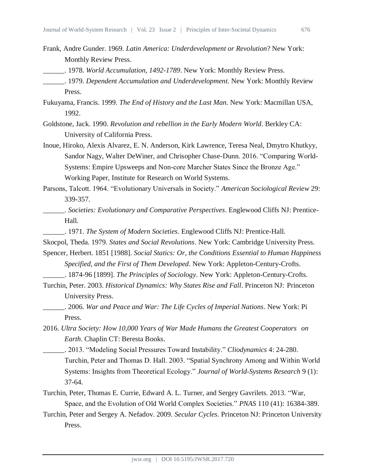- Frank, Andre Gunder. 1969. *Latin America: Underdevelopment or Revolution*? New York: Monthly Review Press.
- \_\_\_\_\_\_. 1978. *World Accumulation, 1492-1789*. New York: Monthly Review Press.
- \_\_\_\_\_\_. 1979. *Dependent Accumulation and Underdevelopment*. New York: Monthly Review Press.
- Fukuyama, Francis. 1999*. The End of History and the Last Man.* New York: Macmillan USA, 1992.
- Goldstone, Jack. 1990. *Revolution and rebellion in the Early Modern World*. Berkley CA: University of California Press.
- Inoue, Hiroko, Alexis Alvarez, E. N. Anderson, Kirk Lawrence, Teresa Neal, Dmytro Khutkyy, Sandor Nagy, Walter DeWiner, and Chrisopher Chase-Dunn. 2016. "Comparing World-Systems: Empire Upsweeps and Non-core Marcher States Since the Bronze Age." Working Paper, Institute for Research on World Systems.
- Parsons, Talcott. 1964. "Evolutionary Universals in Society." *American Sociological Review* 29: 339-357.
- \_\_\_\_\_\_. *Societies: Evolutionary and Comparative Perspectives*. Englewood Cliffs NJ: Prentice-Hall.
- \_\_\_\_\_\_. 1971. *The System of Modern Societies*. Englewood Cliffs NJ: Prentice-Hall.
- Skocpol, Theda. 1979. *States and Social Revolutions*. New York: Cambridge University Press.
- Spencer, Herbert. 1851 [1988]. *Social Statics: Or, the Conditions Essential to Human Happiness Specified, and the First of Them Developed*. New York: Appleton-Century-Crofts. \_\_\_\_\_\_. 1874-96 [1899]. *The Principles of Sociology*. New York: Appleton-Century-Crofts.
- Turchin, Peter. 2003. *Historical Dynamics: Why States Rise and Fall*. Princeton NJ: Princeton University Press.
- \_\_\_\_\_\_. 2006. *War and Peace and War: The Life Cycles of Imperial Nations*. New York: Pi Press.
- 2016. *Ultra Society: How 10,000 Years of War Made Humans the Greatest Cooperators on Earth*. Chaplin CT: Beresta Books.
	- \_\_\_\_\_\_. 2013. "Modeling Social Pressures Toward Instability." *Cliodynamics* 4: 24-280. Turchin, Peter and Thomas D. Hall. 2003. "Spatial Synchrony Among and Within World Systems: Insights from Theoretical Ecology." *Journal of World-Systems Research* 9 (1): 37-64.
- Turchin, Peter, Thomas E. Currie, Edward A. L. Turner, and Sergey Gavrilets. 2013. "War, Space, and the Evolution of Old World Complex Societies." *PNAS* 110 (41): 16384-389.
- Turchin, Peter and Sergey A. Nefadov. 2009. *Secular Cycles*. Princeton NJ: Princeton University Press.